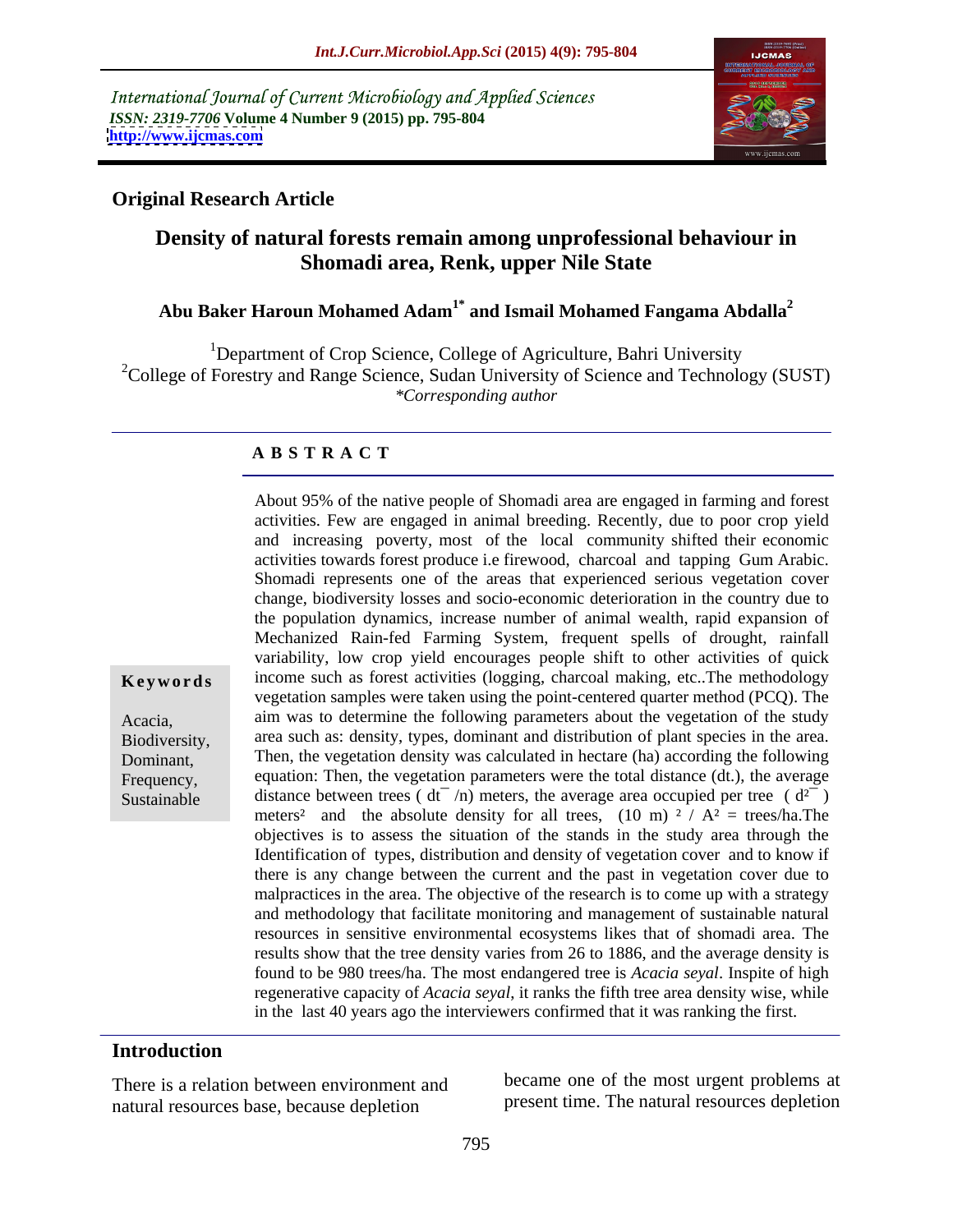International Journal of Current Microbiology and Applied Sciences *ISSN: 2319-7706* **Volume 4 Number 9 (2015) pp. 795-804 <http://www.ijcmas.com>**



### **Original Research Article**

# **Density of natural forests remain among unprofessional behaviour in Shomadi area, Renk, upper Nile State**

# **Abu Baker Haroun Mohamed Adam1\* and Ismail Mohamed Fangama Abdalla<sup>2</sup>**

<sup>1</sup>Department of Crop Science, College of Agriculture, Bahri University <sup>2</sup>College of Forestry and Range Science, Sudan University of Science and Technology (SUST) *\*Corresponding author*

### **A B S T R A C T**

About 95% of the native people of Shomadi area are engaged in farming and forest activities. Few are engaged in animal breeding. Recently, due to poor crop yield and increasing poverty, most of the local community shifted their economic activities towards forest produce i.e firewood, charcoal and tapping Gum Arabic. Shomadi represents one of the areas that experienced serious vegetation cover change, biodiversity losses and socio-economic deterioration in the country due to the population dynamics, increase number of animal wealth, rapid expansion of Mechanized Rain-fed Farming System, frequent spells of drought, rainfall variability, low crop yield encourages people shift to other activities of quick income such as forest activities (logging, charcoal making, etc..The methodology **Ke ywo rds** vegetation samples were taken using the point-centered quarter method (PCQ). The Acacia, aim was to determine the following parameters about the vegetation of the study Biodiversity, area such as: density, types, dominant and distribution of plant species in the area. Dominant, Then, the vegetation density was calculated in hectare (ha) according the following Frequency, equation: Then, the vegetation parameters were the total distance (dt.), the average distance between trees ( $dt^{-}/n$ ) meters, the average area occupied per tree ( $d^{2-}$ ) meters<sup>2</sup> and the absolute density for all trees, (10 m)  $2 / A^2$  = trees/ha.The objectives is to assess the situation of the stands in the study area through the Identification of types, distribution and density of vegetation cover and to know if there is any change between the current and the past in vegetation cover due to malpractices in the area. The objective of the research is to come up with a strategy and methodology that facilitate monitoring and management of sustainable natural resources in sensitive environmental ecosystems likes that of shomadi area. The results show that the tree density varies from 26 to 1886, and the average density is found to be 980 trees/ha. The most endangered tree is *Acacia seyal*. Inspite of high regenerative capacity of *Acacia seyal*, it ranks the fifth tree area density wise, while in the last 40 years ago the interviewers confirmed that it was ranking the first.

### **Introduction**

Sustainable

There is a relation between environment and natural resources base, because depletion

became one of the most urgent problems at present time. The natural resources depletion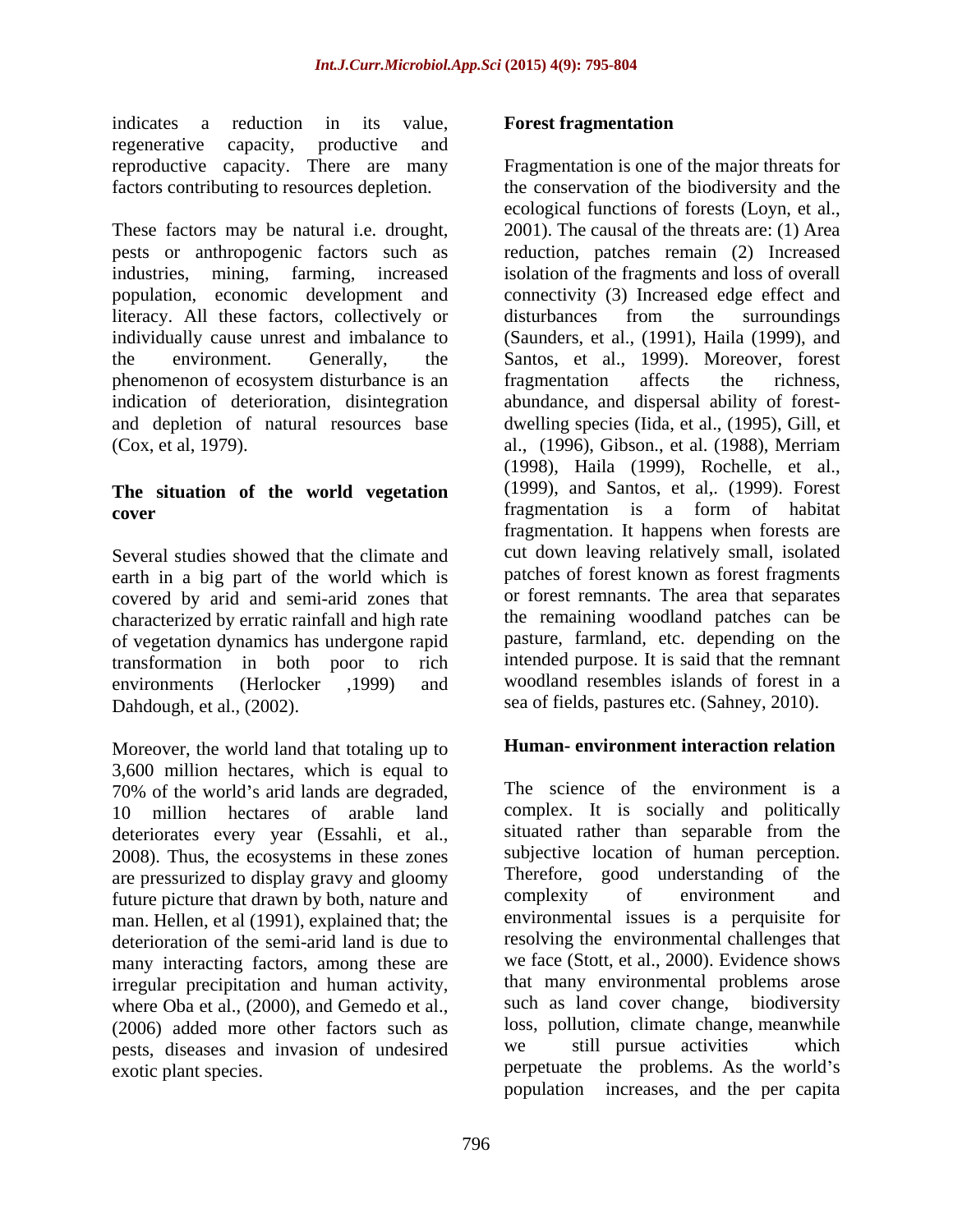indicates a reduction in its value, **Forest fragmentation** regenerative capacity, productive and reproductive capacity. There are many

These factors may be natural i.e. drought, pests or anthropogenic factors such as reduction, patches remain (2) Increased industries, mining, farming, increased isolation of the fragments and loss of overall population, economic development and literacy. All these factors, collectively or disturbances from the surroundings individually cause unrest and imbalance to (Saunders, et al., (1991), Haila (1999), and the environment. Generally, the Santos, et al., 1999). Moreover, forest phenomenon of ecosystem disturbance is an indication of deterioration, disintegration abundance, and dispersal ability of forest and depletion of natural resources base dwelling species (Iida, et al., (1995),Gill, et

# **The situation of the world vegetation**

Several studies showed that the climate and earth in a big part of the world which is covered by arid and semi-arid zones that characterized by erratic rainfall and high rate of vegetation dynamics has undergone rapid transformation in both poor to rich Dahdough, et al., (2002). sea of fields, pastures etc. (Sahney, 2010).

Moreover, the world land that totaling up to 3,600 million hectares, which is equal to 10 million hectares of arable land deteriorates every year (Essahli, et al., 2008). Thus, the ecosystems in these zones are pressurized to display gravy and gloomy<br>future picture that drawn by both nature and<br>complexity of environment and future picture that drawn by both, nature and man. Hellen, et al (1991), explained that; the deterioration of the semi-arid land is due to many interacting factors, among these are irregular precipitation and human activity, where Oba et al., (2000), and Gemedo et al., (2006) added more other factors such as loss, pollution, climate change, meanwhile<br>nests diseases and invasion of undesired we still pursue activities which pests, diseases and invasion of undesired

### **Forest fragmentation**

factors contributing to resources depletion. the conservation of the biodiversity and the (Cox, et al, 1979). al., (1996), Gibson., et al. (1988), Merriam **cover** fragmentation is a form of habitat environments (Herlocker ,1999) and woodland resembles islands of forest in a Fragmentation is one of the major threats for ecological functions of forests (Loyn, et al., 2001). The causal of the threats are: (1) Area connectivity (3) Increased edge effect and disturbances from the surroundings fragmentation affects the richness, (1998), Haila (1999), Rochelle, et al., (1999), and Santos, et al,. (1999). Forest fragmentation. It happens when forests are cut down leaving relatively small, isolated patches of forest known as forest fragments or forest remnants. The area that separates the remaining woodland patches can be pasture, farmland, etc. depending on the intended purpose. It is said that the remnant

### **Human- environment interaction relation**

70% of the world's arid lands are degraded, The science of the environment is a exotic plant species. The perpetuate the problems. As the world's The science of the environment is a complex. It is socially and politically situated rather than separable from the subjective location of human perception. Therefore, good understanding of the complexity of environment and environmental issues is a perquisite for resolving the environmental challenges that we face (Stott, et al., 2000). Evidence shows that many environmental problems arose such as land cover change, biodiversity loss, pollution, climate change, meanwhile we still pursue activities which population increases, and the per capita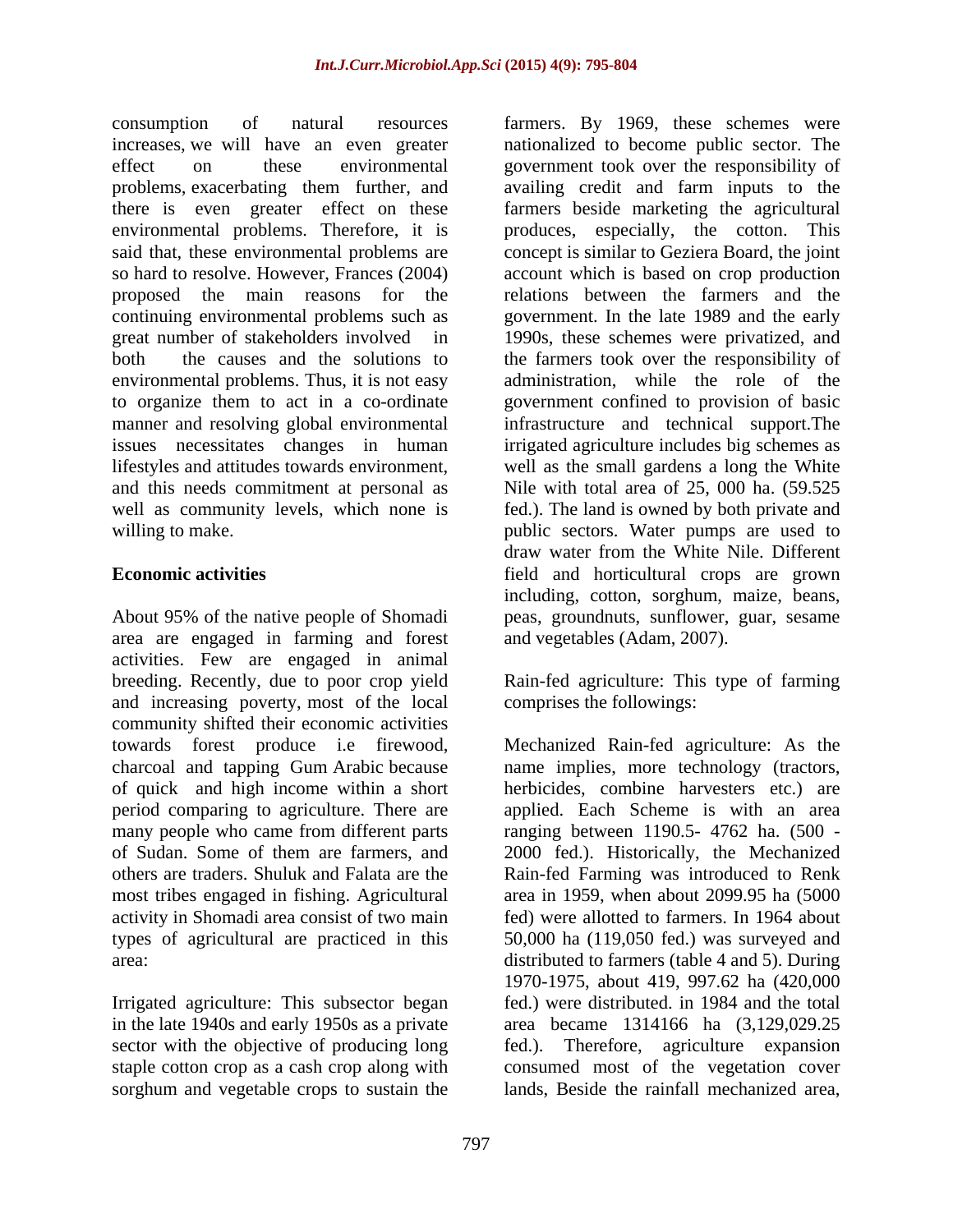consumption of natural resources farmers. By 1969, these schemes were increases, we will have an even greater nationalized to become public sector. The effect on these environmental government took over the responsibility of problems, exacerbating them further, and availing credit and farm inputs to the there is even greater effect on these farmers beside marketing the agricultural environmental problems. Therefore, it is said that, these environmental problems are concept is similar to Geziera Board, the joint so hard to resolve. However, Frances (2004) account which is based on crop production proposed the main reasons for the relations between the farmers and the continuing environmental problems such as great number of stakeholders involved in 1990s, these schemes were privatized, and both the causes and the solutions to the farmers took over the responsibility of environmental problems. Thus, it is not easy administration, while the role of the to organize them to act in a co-ordinate government confined to provision of basic manner and resolving global environmental infrastructure and technical support.The issues necessitates changes in human irrigated agriculture includes big schemes as lifestyles and attitudes towards environment, well as the small gardens a long the White and this needs commitment at personal as Nile with total area of 25, 000 ha. (59.525 well as community levels, which none is fed.). The land is owned by both private and willing to make. The sectors water pumps are used to willing to make.

area are engaged in farming and forest activities. Few are engaged in animal breeding. Recently, due to poor crop yield and Rain-fed agriculture: This type of farming and increasing poverty, most of the local community shifted their economic activities most tribes engaged in fishing. Agricultural

Irrigated agriculture: This subsector began in the late 1940s and early 1950s as a private sorghum and vegetable crops to sustain the

**Economic activities**  field and horticultural crops are grown About 95% of the native people of Shomadi peas, groundnuts, sunflower, guar, sesame produces, especially, the cotton. This government. In the late 1989 and the early draw water from the White Nile. Different including, cotton, sorghum, maize, beans, and vegetables (Adam, 2007).

comprises the followings:

towards forest produce i.e firewood, Mechanized Rain-fed agriculture: As the charcoal and tapping Gum Arabic because name implies, more technology (tractors, of quick and high income within a short herbicides, combine harvesters etc.) are period comparing to agriculture. There are applied. Each Scheme is with an area many people who came from different parts ranging between 1190.5- 4762 ha. (500 of Sudan. Some of them are farmers, and 2000 fed.). Historically, the Mechanized others are traders. Shuluk and Falata are the Rain-fed Farming was introduced to Renk activity in Shomadi area consist of two main fed) were allotted to farmers. In 1964 about types of agricultural are practiced in this 50,000 ha (119,050 fed.) was surveyed and area: distributed to farmers (table 4 and 5). During sector with the objective of producing long fed.). Therefore, agriculture expansion staple cotton crop as a cash crop along with consumed most of the vegetation cover area in 1959, when about 2099.95 ha (5000 1970-1975, about 419, 997.62 ha (420,000 fed.) were distributed. in 1984 and the total area became 1314166 ha (3,129,029.25 lands, Beside the rainfall mechanized area,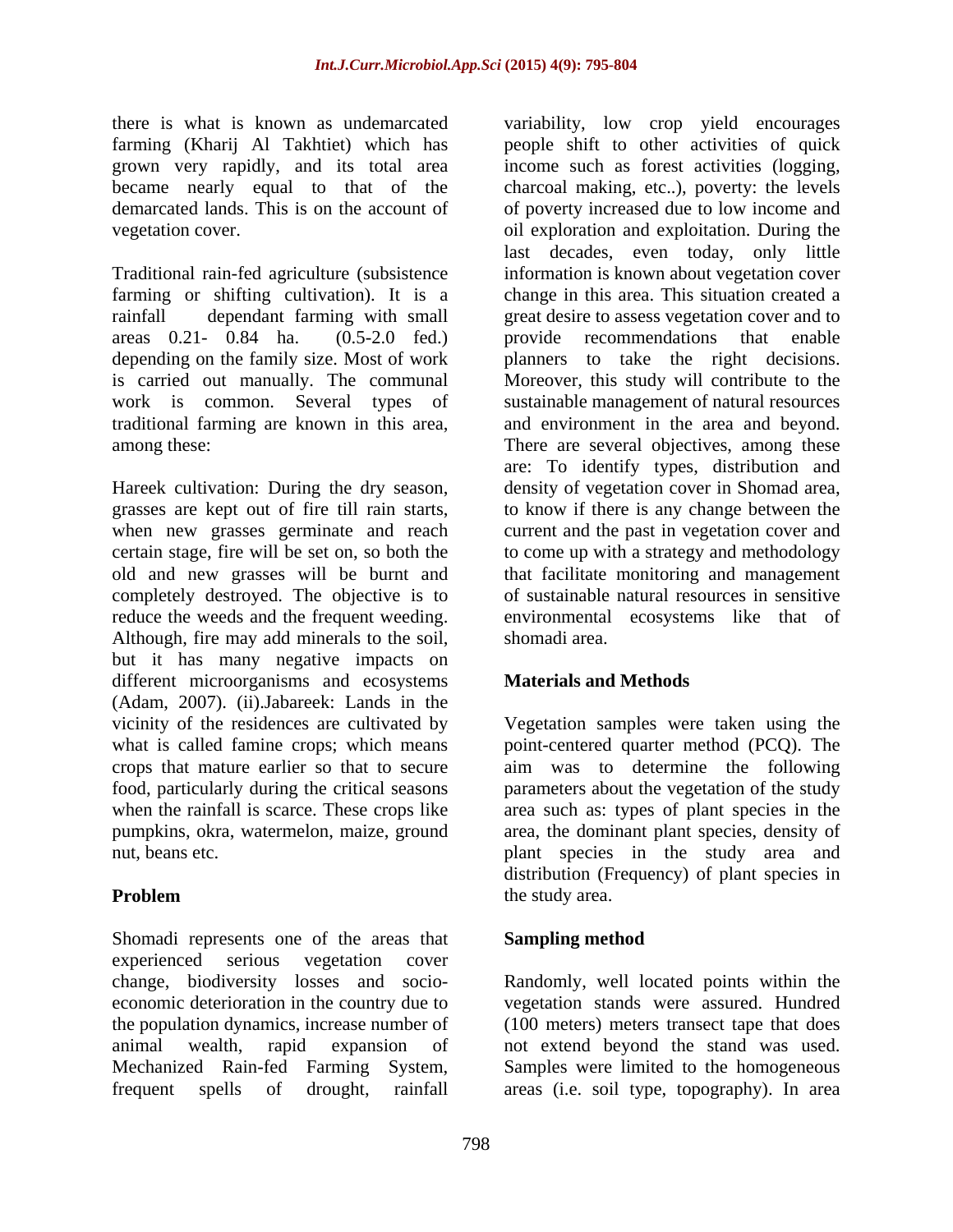there is what is known as undemarcated variability, low crop yield encourages

depending on the family size. Most of work

completely destroyed. The objective is to reduce the weeds and the frequent weeding. Although, fire may add minerals to the soil, shomadi area. but it has many negative impacts on different microorganisms and ecosystems Materials and Methods (Adam, 2007). (ii).Jabareek: Lands in the vicinity of the residences are cultivated by Vegetation samples were taken using the what is called famine crops; which means point-centered quarter method (PCQ). The crops that mature earlier so that to secure aim was to determine the following food, particularly during the critical seasons parameters about the vegetation of the study when the rainfall is scarce. These crops like area such as: types of plant species in the pumpkins, okra, watermelon, maize, ground area, the dominant plant species, density of nut, beans etc. plant species in the study area and

Shomadi represents one of the areas that Sampling method experienced serious vegetation cover change, biodiversity losses and socio- Randomly, well located points within the economic deterioration in the country due to vegetation stands were assured. Hundred the population dynamics, increase number of animal wealth, rapid expansion of not extend beyond the stand was used. Mechanized Rain-fed Farming System, Samples were limited to the homogeneous frequent spells of drought, rainfall areas (i.e. soil type, topography). In area

farming (Kharij Al Takhtiet) which has people shift to other activities of quick grown very rapidly, and its total area income such as forest activities (logging, became nearly equal to that of the charcoal making, etc..), poverty: the levels demarcated lands. This is on the account of of poverty increased due to low income and vegetation cover. oil exploration and exploitation. During the Traditional rain-fed agriculture (subsistence information is known about vegetation cover farming or shifting cultivation). It is a change in this area. This situation created a rainfall dependant farming with small great desire to assess vegetation cover and to areas 0.21- 0.84 ha. (0.5-2.0 fed.) provide recommendations that enable is carried out manually. The communal Moreover, this study will contribute to the work is common. Several types of sustainable management of natural resources traditional farming are known in this area, and environment in the area and beyond. among these: There are several objectives, among these Hareek cultivation: During the dry season, density of vegetation cover in Shomad area, grasses are kept out of fire till rain starts, to know if there is any change between the when new grasses germinate and reach current and the past in vegetation cover and certain stage, fire will be set on, so both the to come up with a strategy and methodology old and new grasses will be burnt and that facilitate monitoring and management last decades, even today, only little provide recommendations that enable planners to take the right decisions. are: To identify types, distribution and of sustainable natural resources in sensitive environmental ecosystems like that of shomadi area.

### **Materials and Methods**

**Problem** the study area. distribution (Frequency) of plant species in the study area.

## **Sampling method**

(100 meters) meters transect tape that does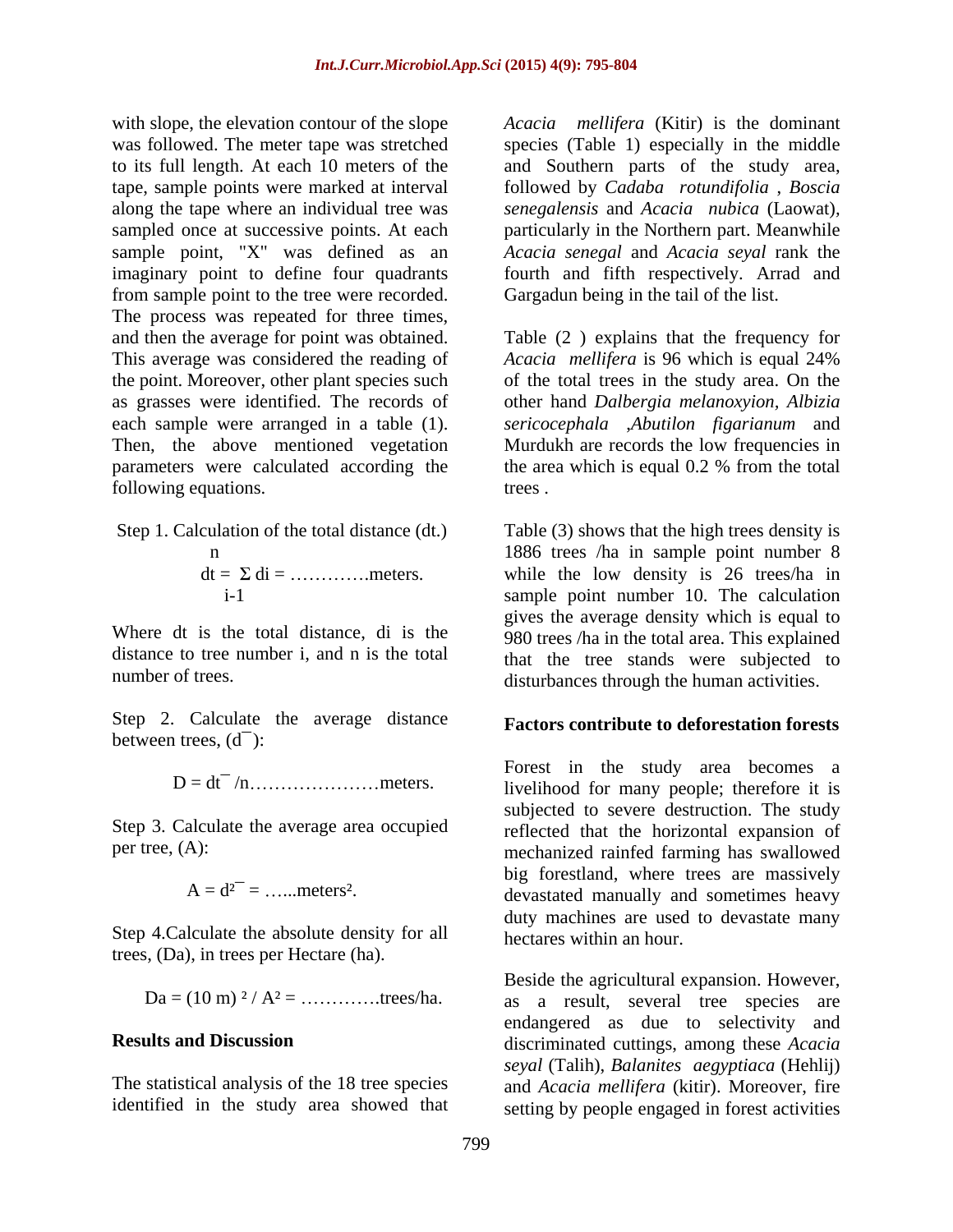with slope, the elevation contour of the slope *Acacia mellifera* (Kitir) is the dominant was followed. The meter tape was stretched species (Table 1) especially in the middle to its full length. At each 10 meters of the and Southern parts of the study area, tape, sample points were marked at interval followed by *Cadaba rotundifolia*, *Boscia* along the tape where an individual tree was *senegalensis* and *Acacia nubica* (Laowat)*,* sampled once at successive points. At each particularly in the Northern part. Meanwhile sample point, "X" was defined as an imaginary point to define four quadrants fourth and fifth respectively. Arrad and from sample point to the tree were recorded. The process was repeated for three times, and then the average for point was obtained. Table (2 ) explains that the frequency for This average was considered the reading of *Acacia mellifera* is 96 which is equal 24% the point. Moreover, other plant species such as grasses were identified. The records of other hand *Dalbergia melanoxyion, Albizia* each sample were arranged in a table (1). *sericocephala* ,*Abutilon figarianum* and Then, the above mentioned vegetation Murdukh are records the low frequencies in parameters were calculated according the the area which is equal 0.2 % from the total following equations. The trees trees.

n  
dt = 
$$
\Sigma
$$
 di = .........  
meters.

Step 2. Calculate the average distance between trees,  $(d<sup>-</sup>)$ :

$$
D=dt^{-}/n.\dots.\dots.\dots.\dots.\dots.\dots
$$

Step 3. Calculate the average area occupied

$$
A = d^{2-} = \dots .
$$
 meters<sup>2</sup>.

Step 4.Calculate the absolute density for all trees, (Da), in trees per Hectare (ha).

*Acacia senegal* and *Acacia seyal* rank the Gargadun being in the tail of the list.

of the total trees in the study area. On the the area which is equal 0.2 % from the total trees .

Step 1. Calculation of the total distance (dt.) Table (3) shows that the high trees density is n 1886 trees /ha in sample point number 8  $dt = \sum di = \dots \dots \dots \dots$  meters. while the low density is 26 trees/ha in i-1 sample point number 10. The calculation Where dt is the total distance, di is the 980 trees /ha in the total area. This explained distance to tree number i, and n is the total that the tree stands were subjected to number of trees.<br>
disturbances through the human activities. gives the average density which is equal to

### **Factors contribute to deforestation forests**

D = dt¯ /n meters. livelihood for many people; therefore it is per tree, (A): mechanized rainfed farming has swallowed  $A = d^{2-} = \dots$  meters<sup>2</sup>. devastated manually and sometimes heavy Forest in the study area becomes a subjected to severe destruction. The study reflected that the horizontal expansion of big forestland, where trees are massively duty machines are used to devastate many hectares within an hour.

 $Da = (10 \text{ m})^2 / A^2 = \dots \dots \dots \dots \text{trees/ha}.$  as a result, several tree species are **Results and Discussion** discriminated cuttings, among these *Acacia* The statistical analysis of the 18 tree species and *Acacia mellifera* (kitir). Moreover, fire identified in the study area showed that setting by people engaged in forest activitiesBeside the agricultural expansion. However, endangered as due to selectivity and *seyal* (Talih), *Balanites aegyptiaca* (Hehlij)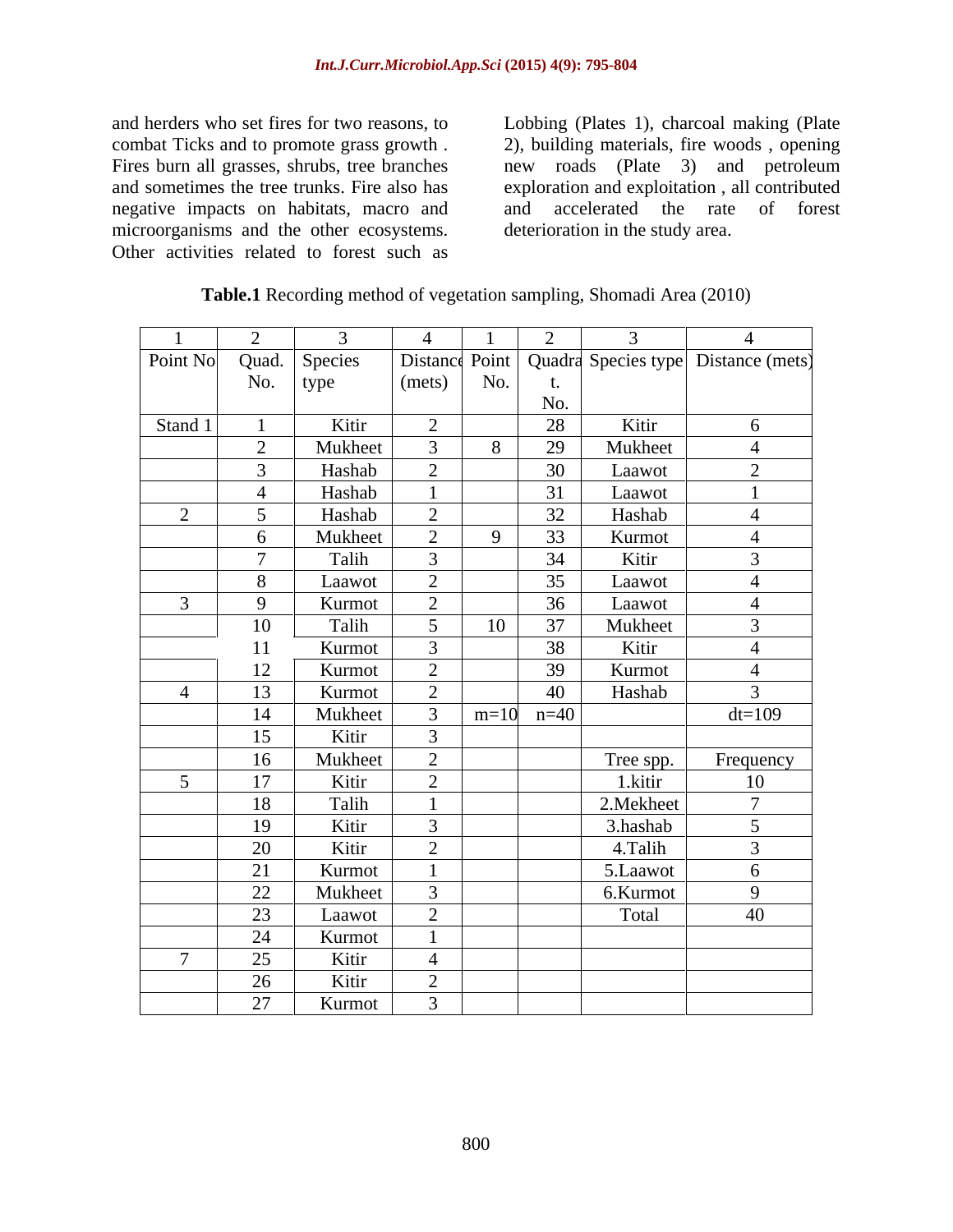negative impacts on habitats, macro and microorganisms and the other ecosystems. Other activities related to forest such as

and herders who set fires for two reasons, to Lobbing (Plates 1), charcoal making (Plate combat Ticks and to promote grass growth . 2), building materials, fire woods , opening Fires burn all grasses, shrubs, tree branches new roads (Plate 3) and petroleum and sometimes the tree trunks. Fire also has exploration and exploitation , all contributed and accelerated the rate of forest deterioration in the study area.

| Table.1 Rec<br>Area<br>ording method 6.<br>of vegetation s.<br>Shomadi z<br>$\sim$ nling | (2010) |  |
|------------------------------------------------------------------------------------------|--------|--|
|                                                                                          |        |  |

|                 | $\bigcap$      | $\mathcal{R}$ | $\overline{4}$  |        | $\gamma$ | 3          | $\overline{A}$                                         |
|-----------------|----------------|---------------|-----------------|--------|----------|------------|--------------------------------------------------------|
| Point No        | Quad.          | Species       |                 |        |          |            | Distance Point   Quadra Species type   Distance (mets) |
|                 | No.            | type          | (mets)          | No.    | τ.       |            |                                                        |
|                 |                |               |                 |        | No.      |            |                                                        |
| Stand 1         |                | Kitir         | 2               |        | 28       | Kitir      | 6                                                      |
|                 | $\gamma$       | Mukheet       | $\mathfrak{Z}$  | 8      | 29       | Mukheet    | $\overline{4}$                                         |
|                 | $\overline{3}$ | Hashab        | 2               |        | 30       | Laawot     | 2                                                      |
|                 |                | Hashab        |                 |        | 31       | Laawot     |                                                        |
| 2               | 5 <sup>5</sup> | Hashab        | 2               |        | 32       | Hashab     | $\overline{4}$                                         |
|                 | 6              | Mukheet       | 2               | 9      | 33       | Kurmot     | $\overline{4}$                                         |
|                 | $\mathcal{L}$  | Talih         | $\mathbf{3}$    |        | 34       | Kitir      | $\overline{3}$                                         |
|                 | 8              | Laawot        | 2               |        | 35       | Laawot     | $\overline{4}$                                         |
| $\overline{3}$  | $\mathbf Q$    | Kurmot        | $\overline{2}$  |        | 36       | Laawot     | $\overline{4}$                                         |
|                 | 10             | Talih         | $5\overline{)}$ | 10     | 37       | Mukheet    | $\overline{3}$                                         |
|                 | 11             | Kurmot        | $\overline{3}$  |        | 38       | Kitir      | $\overline{4}$                                         |
|                 | 12             | Kurmot        | 2               |        | 39       | Kurmot     | $\overline{4}$                                         |
| $\overline{4}$  | 13             | Kurmot        | 2               |        | 40       | Hashab     | $\overline{3}$                                         |
|                 | 14             | Mukheet       | 3               | $m=10$ | $n=40$   |            | $dt=109$                                               |
|                 | 15             | Kitir         | $\overline{3}$  |        |          |            |                                                        |
|                 | 16             | Mukheet       | 2               |        |          | Tree spp.  | Frequency                                              |
| $5\overline{)}$ | 17             | Kitir         | 2               |        |          | 1.kitir    | 10                                                     |
|                 | 18             | Talih         |                 |        |          | 2. Mekheet | $\overline{7}$                                         |
|                 | 19             | Kitir         | $\mathbf{3}$    |        |          | 3.hashab   | $5\overline{)}$                                        |
|                 | 20             | Kitir         | 2               |        |          | 4.Talih    | $\mathfrak{Z}$                                         |
|                 | 21             | Kurmot        |                 |        |          | 5.Laawot   | 6                                                      |
|                 | 22             | Mukheet       | $\overline{3}$  |        |          | 6.Kurmot   | 9                                                      |
|                 | 23             | Laawot        | 2               |        |          | Total      | 40                                                     |
|                 | 24             | Kurmot        |                 |        |          |            |                                                        |
| $\mathcal{L}$   | 25             | Kitir         | $\overline{4}$  |        |          |            |                                                        |
|                 | 26             | Kitir         | 2               |        |          |            |                                                        |
|                 | 27             | Kurmot        | $\mathfrak{Z}$  |        |          |            |                                                        |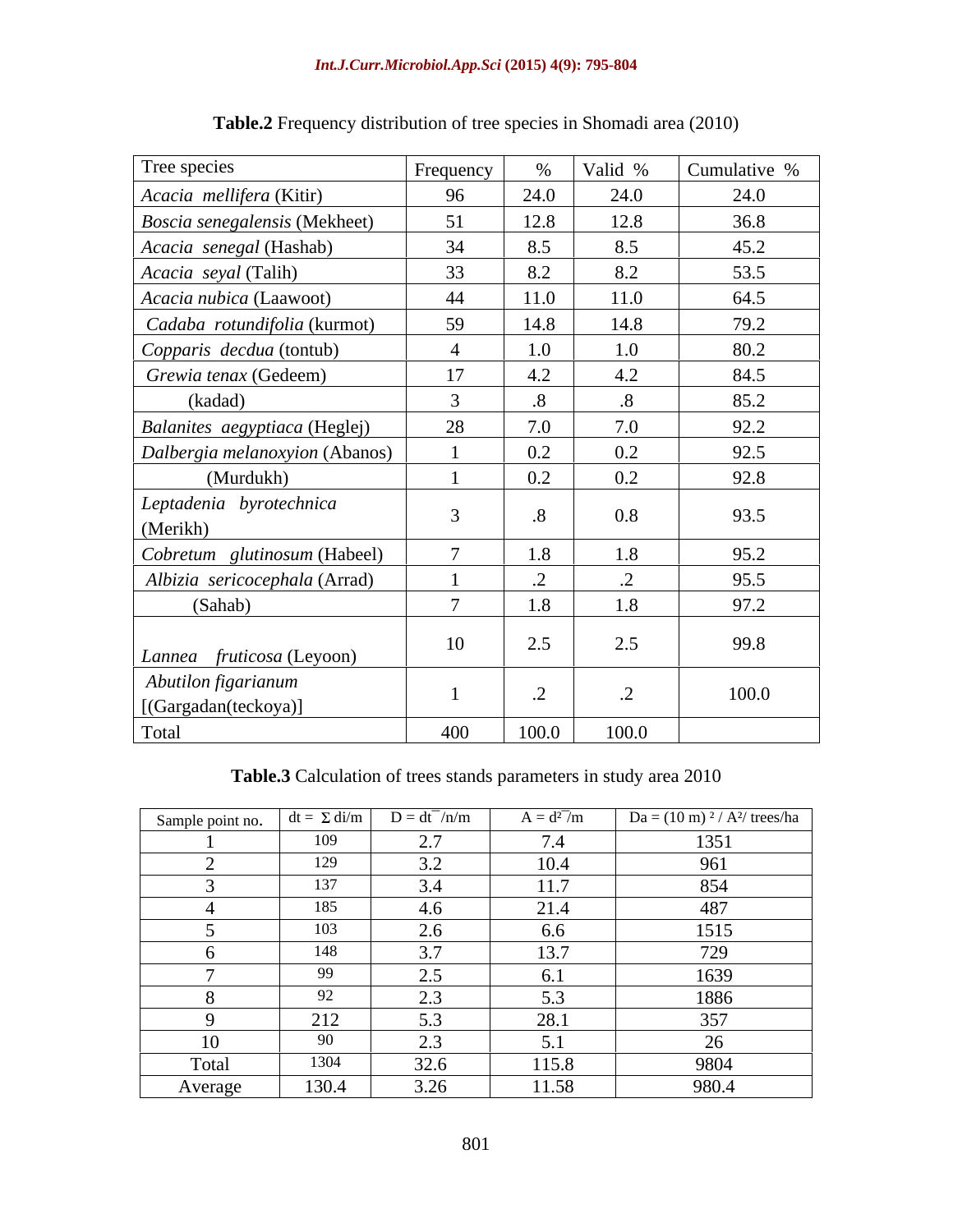| Tree species                                | Frequency |              | $\%$ Valid % | Cumulative % |
|---------------------------------------------|-----------|--------------|--------------|--------------|
| Acacia mellifera (Kitir)                    | 96        | 24.0         | 24.0         | 24.0         |
| Boscia senegalensis (Mekheet)               | 51        | 12.8         | 12.8         | 36.8         |
| Acacia senegal (Hashab)                     | 34        | 8.5          | 8.5          | 45.2         |
| Acacia seyal (Talih)                        | 33        | 8.2          | 8.2          | 53.5         |
| Acacia nubica (Laawoot)                     | 44        | 11.0         | 11.0         | 64.5         |
| Cadaba rotundifolia (kurmot)                | 59        | 14.8         | 14.8         | 79.2         |
| Copparis decdua (tontub)                    |           | 1.0          | 1.0          | 80.2         |
| Grewia tenax (Gedeem)                       | 17        | 4.2          | 4.2          | 84.5         |
| (kadad)                                     |           | $\mathbf{8}$ |              | 85.2         |
| Balanites aegyptiaca (Heglej)               | 28        | 7.0          | 7.0          | 92.2         |
| Dalbergia melanoxyion (Abanos)              |           | $0.2\,$      | $0.2\,$      | 92.5         |
| (Murdukh)                                   |           | 0.2          | 0.2          | 92.8         |
| Leptadenia byrotechnica<br>(Merikh)         |           |              | 0.8          | 93.5         |
| Cobretum glutinosum (Habeel)                |           | 1.8          | 1.8          | 95.2         |
| Albizia sericocephala (Arrad)               |           | $\cdot$ .2   | $\cdot$      | 95.5         |
| (Sahab)                                     |           | 1.8          | 1.8          | 97.2         |
| Lannea fruticosa (Leyoon)                   | 10        | 2.5          | 2.5          | 99.8         |
| Abutilon figarianum<br>[(Gargadan(teckoya)] |           |              |              | 100.0        |
| Total                                       | 400       | 100.0        | 100.0        |              |

**Table.2** Frequency distribution of tree species in Shomadi area (2010)

**Table.3** Calculation of trees stands parameters in study area 2010

| Sample point no. $\det$ $\left  d\mathbf{t} = \sum d\mathbf{i}/m \right $ |                       | $D = dt^{-}/n/m$      | $A = d^{27}/m$ | $Da = (10 \text{ m})^2 / A^2$ / trees/ha |
|---------------------------------------------------------------------------|-----------------------|-----------------------|----------------|------------------------------------------|
|                                                                           | 109                   | $\Omega$<br>ا . د     | 7.4            | 1351                                     |
|                                                                           | 120<br>エムフ            | $\sim$ $\sim$<br>، ب  | 10.4           | 961                                      |
|                                                                           | 127                   | 3.4                   | 117<br>11.7    | 854                                      |
|                                                                           | 185                   | 4.6                   | 21.4           | 487                                      |
|                                                                           | 103                   | $\sim$<br>$\angle$ .0 | 6.6            | 1515                                     |
|                                                                           | 148                   |                       | 127            | 729                                      |
|                                                                           | 99                    | ∠.                    |                | 1639                                     |
|                                                                           | $\Omega$<br>$J\Delta$ | <u>، ، ، ، </u>       | 5.3            | 1886                                     |
|                                                                           | 212                   | $\sim$ $\sim$<br>ر. ر | 28.1           | 357                                      |
| 10                                                                        | 90                    | <u>، ، ، ، </u>       |                | $20^{\circ}$                             |
| Total                                                                     | 1304                  | 32.6                  | 115.8          | 9804                                     |
| Average                                                                   | 130.4                 | 3.26                  | 11.58          | 980.4                                    |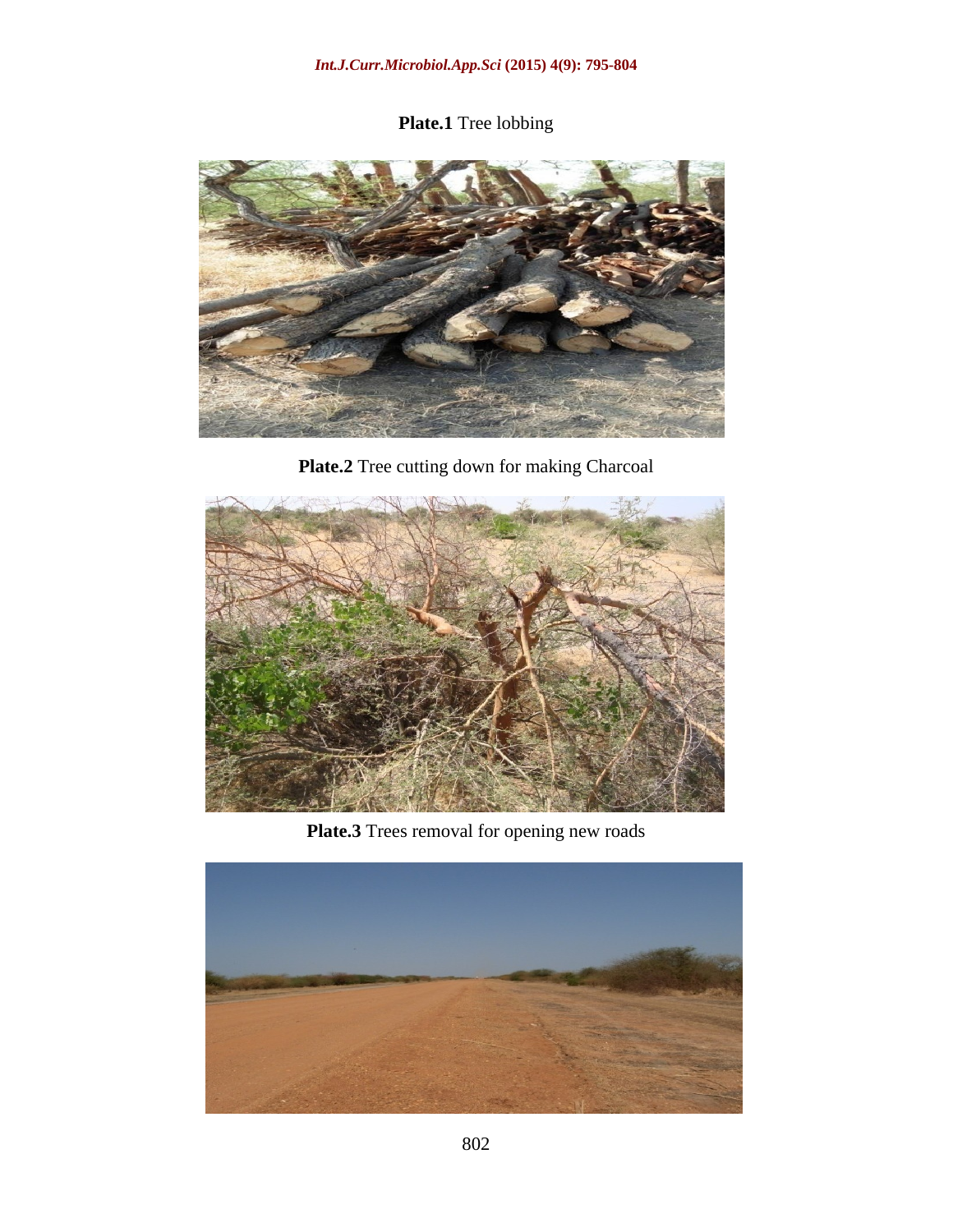### **Plate.1** Tree lobbing



**Plate.2** Tree cutting down for making Charcoal



**Plate.3** Trees removal for opening new roads

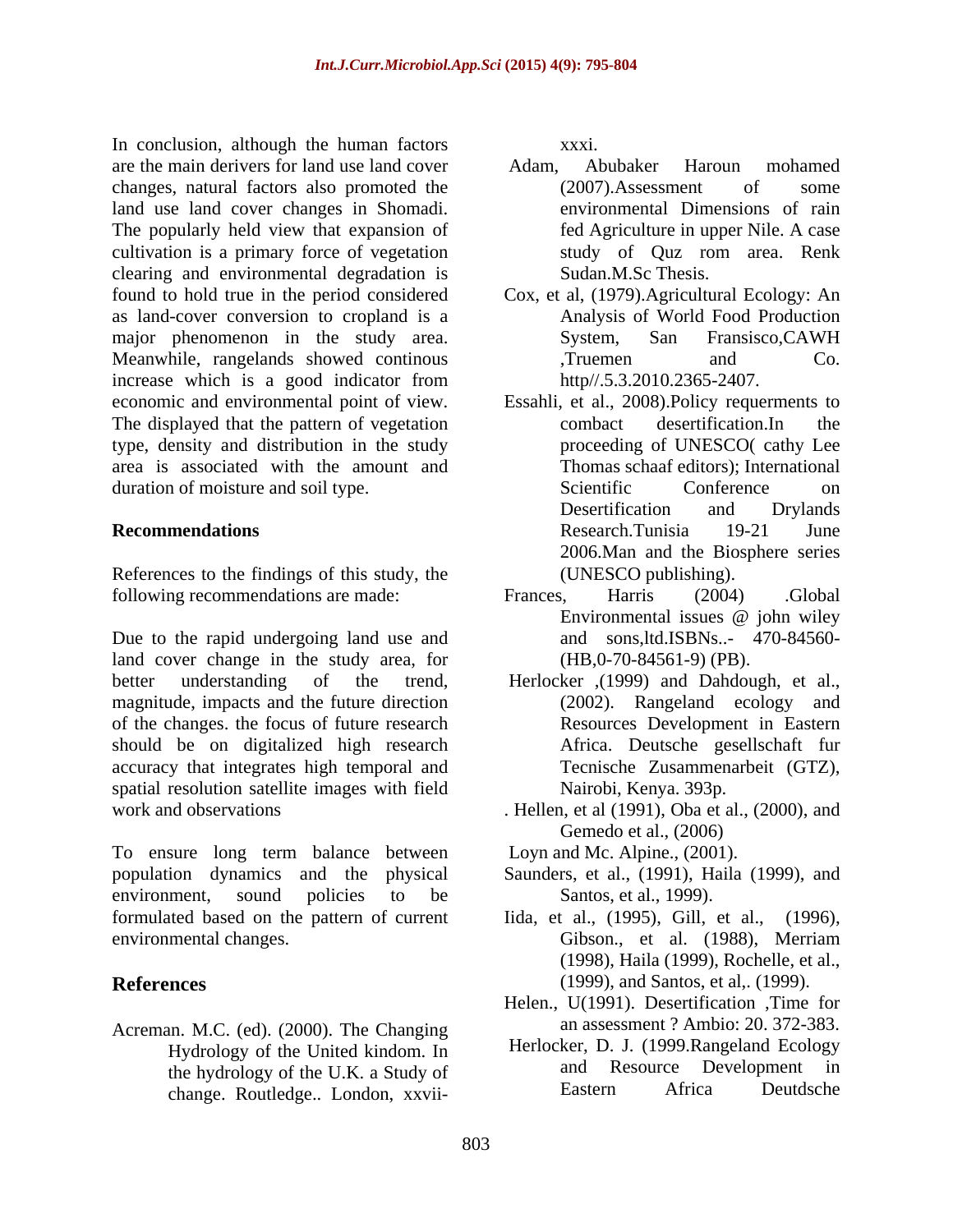In conclusion, although the human factors are the main derivers for land use land cover changes, natural factors also promoted the  $(2007)$ . Assessment of some land use land cover changes in Shomadi. The popularly held view that expansion of fed Agriculture in upper Nile. A case cultivation is a primary force of vegetation study of Ouz rom area. Renk cultivation is a primary force of vegetation clearing and environmental degradation is found to hold true in the period considered Cox, et al, (1979).Agricultural Ecology: An as land-cover conversion to cropland is a major phenomenon in the study area. System, San Fransisco, CAWH Meanwhile, rangelands showed continous Truemen and Co. increase which is a good indicator from http//.5.3.2010.2365-2407. The displayed that the pattern of vegetation combact desertification. In the type, density and distribution in the study area is associated with the amount and duration of moisture and soil type. Scientific Conference on

References to the findings of this study, the following recommendations are made: Frances, Harris (2004) Global

Due to the rapid undergoing land use and land cover change in the study area, for better understanding of the trend, Herlocker ,(1999) and Dahdough, et al., magnitude, impacts and the future direction of the changes. the focus of future research should be on digitalized high research accuracy that integrates high temporal and spatial resolution satellite images with field

To ensure long term balance between population dynamics and the physical Saunders, et al., (1991), Haila (1999), and environment, sound policies to be Santos, et al., 1999). formulated based on the pattern of current environmental changes. Gibson., et al. (1988), Merriam

Acreman. M.C. (ed). (2000). The Changing Hydrology of the United kindom. In change. Routledge.. London, xxviixxxi.

- Adam, Abubaker Haroun mohamed (2007).Assessment of some environmental Dimensions of rain fed Agriculture in upper Nile. A case study of Quz rom area. Renk Sudan.M.Sc Thesis.
- Analysis of World Food Production System, San Fransisco,CAWH ,Truemen and Co. http//.5.3.2010.2365-2407.
- economic and environmental point of view. Essahli, et al., 2008).Policy requerments to **Recommendations**  combact desertification.In the proceeding of UNESCO( cathy Lee Thomas schaaf editors); International Scientific Conference on Desertification and Drylands Research.Tunisia 19-21 June 2006.Man and the Biosphere series (UNESCO publishing).
	- Frances, Harris (2004) .Global Environmental issues @ john wiley and sons,ltd.ISBNs..- 470-84560- (HB,0-70-84561-9) (PB).
	- (2002). Rangeland ecology and Resources Development in Eastern Africa. Deutsche gesellschaft fur Tecnische Zusammenarbeit (GTZ), Nairobi, Kenya. 393p.
- work and observations . Hellen, et al (1991), Oba et al., (2000), and Gemedo et al., (2006)

Loyn and Mc. Alpine., (2001).

- Santos, et al., 1999).
- **References** (1999), and Santos, et al,. (1999). Iida, etal., (1995), Gill, et al., (1996), Gibson., et al. (1988), Merriam (1998), Haila (1999), Rochelle, et al.,
	- Helen., U(1991). Desertification ,Time for an assessment ? Ambio: 20. 372-383.
	- the hydrology of the U.K. a Study of and Resource Development in<br>
	change Boutledge London vyvii Eastern Africa Deutdsche Herlocker, D. J. (1999.Rangeland Ecology and Resource Development in Eastern Africa Deutdsche